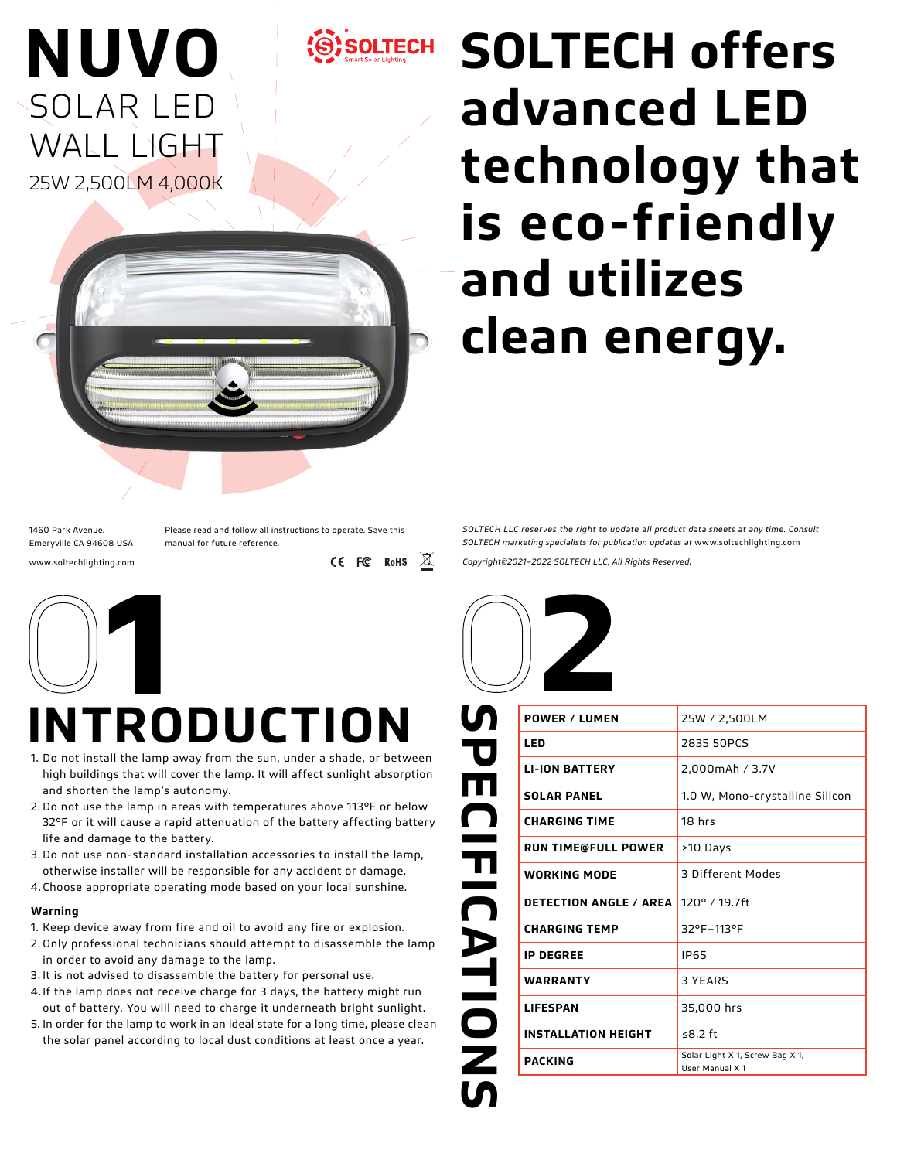

# **SOLTECH offers advanced LED technology that is eco-friendly and utilizes clean energy.**

1460 Park Avenue. Emeryville CA 94608 USA www.soltechlighting.com

**NUVO**

SOLAR LED

WALL LIGHT

25W 2,500LM 4,000K

Please read and follow all instructions to operate. Save this manual for future reference.

CE FC RoHS

 $\mathbb{X}$ 



## **INTRODUCTION**

- 1. Do not install the lamp away from the sun, under a shade, or between high buildings that will cover the lamp. It will affect sunlight absorption and shorten the lamp's autonomy.
- 2. Do not use the lamp in areas with temperatures above 113°F or below 32°F or it will cause a rapid attenuation of the battery affecting battery life and damage to the battery.
- 3. Do not use non-standard installation accessories to install the lamp, otherwise installer will be responsible for any accident or damage.
- 4. Choose appropriate operating mode based on your local sunshine.

#### **Warning**

- 1. Keep device away from fire and oil to avoid any fire or explosion.
- 2. Only professional technicians should attempt to disassemble the lamp in order to avoid any damage to the lamp.
- 3. It is not advised to disassemble the battery for personal use.
- 4. If the lamp does not receive charge for 3 days, the battery might run out of battery. You will need to charge it underneath bright sunlight.
- 5. In order for the lamp to work in an ideal state for a long time, please clean the solar panel according to local dust conditions at least once a year.

*SOLTECH LLC reserves the right to update all product data sheets at any time. Consult SOLTECH marketing specialists for publication updates at* www.soltechlighting.com

*Copyright©2021–2022 SOLTECH LLC, All Rights Reserved.*



| տ<br><b>POWER / LUMEN</b>                             | 25W / 2,500LM                                     |
|-------------------------------------------------------|---------------------------------------------------|
| LED                                                   | 2835 50PCS                                        |
| P<br>F<br><b>LI-ION BATTERY</b>                       | 2,000mAh / 3.7V                                   |
| <b>SOLAR PANEL</b>                                    | 1.0 W, Mono-crystalline Silicon                   |
| $\blacksquare$<br><b>CHARGING TIME</b>                | 18 <sub>hfs</sub>                                 |
| <b>RUN TIME@FULL POWER</b>                            | >10 Days                                          |
| <b>WORKING MODE</b>                                   | 3 Different Modes                                 |
| $\frac{\pi}{\Omega}$<br><b>DETECTION ANGLE / AREA</b> | 120° / 19.7ft                                     |
| <b>CHARGING TEMP</b>                                  | 32°F-113°F                                        |
| <b>IP DEGREE</b>                                      | <b>IP65</b>                                       |
| ATIOI<br>WARRANTY                                     | 3 YEARS                                           |
| <b>LIFESPAN</b>                                       | 35,000 hrs                                        |
| <b>INSTALLATION HEIGHT</b>                            | ≤ $8.2$ ft                                        |
| Z<br><b>PACKING</b>                                   | Solar Light X 1, Screw Bag X 1,<br>User Manual X1 |